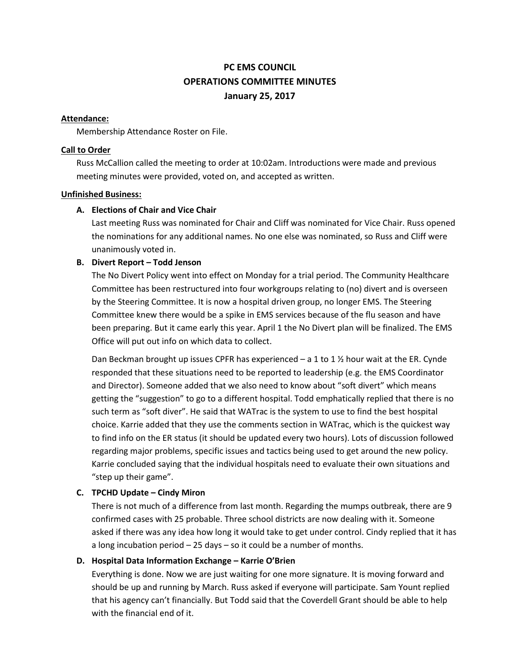# **PC EMS COUNCIL OPERATIONS COMMITTEE MINUTES January 25, 2017**

#### **Attendance:**

Membership Attendance Roster on File.

#### **Call to Order**

Russ McCallion called the meeting to order at 10:02am. Introductions were made and previous meeting minutes were provided, voted on, and accepted as written.

#### **Unfinished Business:**

#### **A. Elections of Chair and Vice Chair**

Last meeting Russ was nominated for Chair and Cliff was nominated for Vice Chair. Russ opened the nominations for any additional names. No one else was nominated, so Russ and Cliff were unanimously voted in.

#### **B. Divert Report – Todd Jenson**

The No Divert Policy went into effect on Monday for a trial period. The Community Healthcare Committee has been restructured into four workgroups relating to (no) divert and is overseen by the Steering Committee. It is now a hospital driven group, no longer EMS. The Steering Committee knew there would be a spike in EMS services because of the flu season and have been preparing. But it came early this year. April 1 the No Divert plan will be finalized. The EMS Office will put out info on which data to collect.

Dan Beckman brought up issues CPFR has experienced  $-$  a 1 to 1  $\frac{1}{2}$  hour wait at the ER. Cynde responded that these situations need to be reported to leadership (e.g. the EMS Coordinator and Director). Someone added that we also need to know about "soft divert" which means getting the "suggestion" to go to a different hospital. Todd emphatically replied that there is no such term as "soft diver". He said that WATrac is the system to use to find the best hospital choice. Karrie added that they use the comments section in WATrac, which is the quickest way to find info on the ER status (it should be updated every two hours). Lots of discussion followed regarding major problems, specific issues and tactics being used to get around the new policy. Karrie concluded saying that the individual hospitals need to evaluate their own situations and "step up their game".

## **C. TPCHD Update – Cindy Miron**

There is not much of a difference from last month. Regarding the mumps outbreak, there are 9 confirmed cases with 25 probable. Three school districts are now dealing with it. Someone asked if there was any idea how long it would take to get under control. Cindy replied that it has a long incubation period – 25 days – so it could be a number of months.

#### **D. Hospital Data Information Exchange – Karrie O'Brien**

Everything is done. Now we are just waiting for one more signature. It is moving forward and should be up and running by March. Russ asked if everyone will participate. Sam Yount replied that his agency can't financially. But Todd said that the Coverdell Grant should be able to help with the financial end of it.